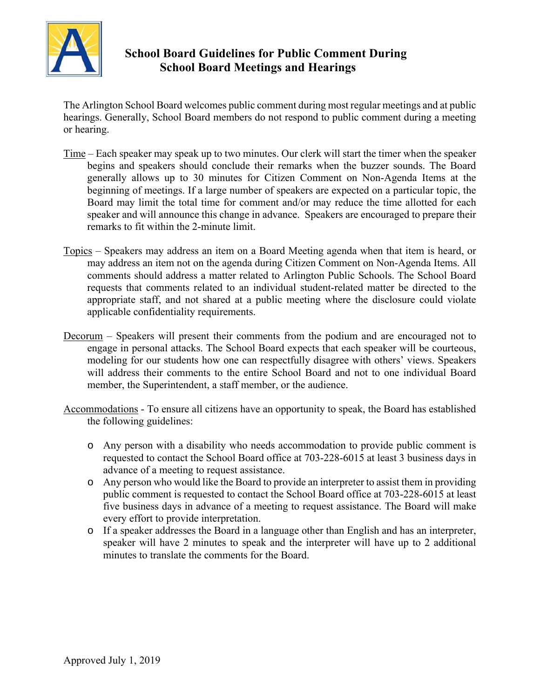

## **School Board Guidelines for Public Comment During School Board Meetings and Hearings**

The Arlington School Board welcomes public comment during most regular meetings and at public hearings. Generally, School Board members do not respond to public comment during a meeting or hearing.

- Time Each speaker may speak up to two minutes. Our clerk will start the timer when the speaker begins and speakers should conclude their remarks when the buzzer sounds. The Board generally allows up to 30 minutes for Citizen Comment on Non-Agenda Items at the beginning of meetings. If a large number of speakers are expected on a particular topic, the Board may limit the total time for comment and/or may reduce the time allotted for each speaker and will announce this change in advance. Speakers are encouraged to prepare their remarks to fit within the 2-minute limit.
- Topics Speakers may address an item on a Board Meeting agenda when that item is heard, or may address an item not on the agenda during Citizen Comment on Non-Agenda Items. All comments should address a matter related to Arlington Public Schools. The School Board requests that comments related to an individual student-related matter be directed to the appropriate staff, and not shared at a public meeting where the disclosure could violate applicable confidentiality requirements.
- Decorum Speakers will present their comments from the podium and are encouraged not to engage in personal attacks. The School Board expects that each speaker will be courteous, modeling for our students how one can respectfully disagree with others' views. Speakers will address their comments to the entire School Board and not to one individual Board member, the Superintendent, a staff member, or the audience.
- Accommodations To ensure all citizens have an opportunity to speak, the Board has established the following guidelines:
	- o Any person with a disability who needs accommodation to provide public comment is requested to contact the School Board office at 703-228-6015 at least 3 business days in advance of a meeting to request assistance.
	- o Any person who would like the Board to provide an interpreter to assist them in providing public comment is requested to contact the School Board office at 703-228-6015 at least five business days in advance of a meeting to request assistance. The Board will make every effort to provide interpretation.
	- o If a speaker addresses the Board in a language other than English and has an interpreter, speaker will have 2 minutes to speak and the interpreter will have up to 2 additional minutes to translate the comments for the Board.